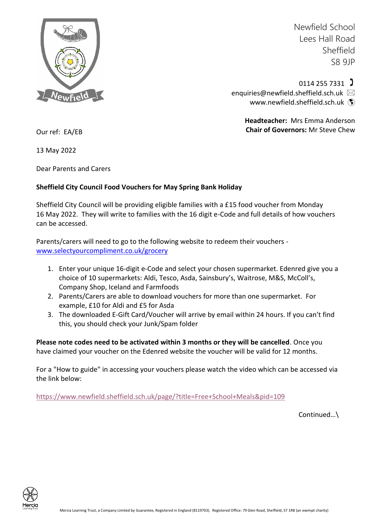

Newfield School Lees Hall Road Sheffield S8 9JP

 $0114$  255 7331  $\sqrt{ }$ [enquiries@newfield.sheffield.sch.uk](mailto:enquiries@newfield.sheffield.sch.uk)  [www.newfield.sheffield.sch.uk](http://www.newfield.sheffield.sch.uk/) (\*)

> **Headteacher:** Mrs Emma Anderson **Chair of Governors:** Mr Steve Chew

Our ref: EA/EB

13 May 2022

Dear Parents and Carers

## **Sheffield City Council Food Vouchers for May Spring Bank Holiday**

Sheffield City Council will be providing eligible families with a £15 food voucher from Monday 16 May 2022. They will write to families with the 16 digit e-Code and full details of how vouchers can be accessed.

Parents/carers will need to go to the following website to redeem their vouchers [www.selectyourcompliment.co.uk/grocery](http://www.selectyourcompliment.co.uk/grocery)

- 1. Enter your unique 16-digit e-Code and select your chosen supermarket. Edenred give you a choice of 10 supermarkets: Aldi, Tesco, Asda, Sainsbury's, Waitrose, M&S, McColl's, Company Shop, Iceland and Farmfoods
- 2. Parents/Carers are able to download vouchers for more than one supermarket. For example, £10 for Aldi and £5 for Asda
- 3. The downloaded E-Gift Card/Voucher will arrive by email within 24 hours. If you can't find this, you should check your Junk/Spam folder

**Please note codes need to be activated within 3 months or they will be cancelled**. Once you have claimed your voucher on the Edenred website the voucher will be valid for 12 months.

For a "How to guide" in accessing your vouchers please watch the video which can be accessed via the link below:

<https://www.newfield.sheffield.sch.uk/page/?title=Free+School+Meals&pid=109>

Continued…\